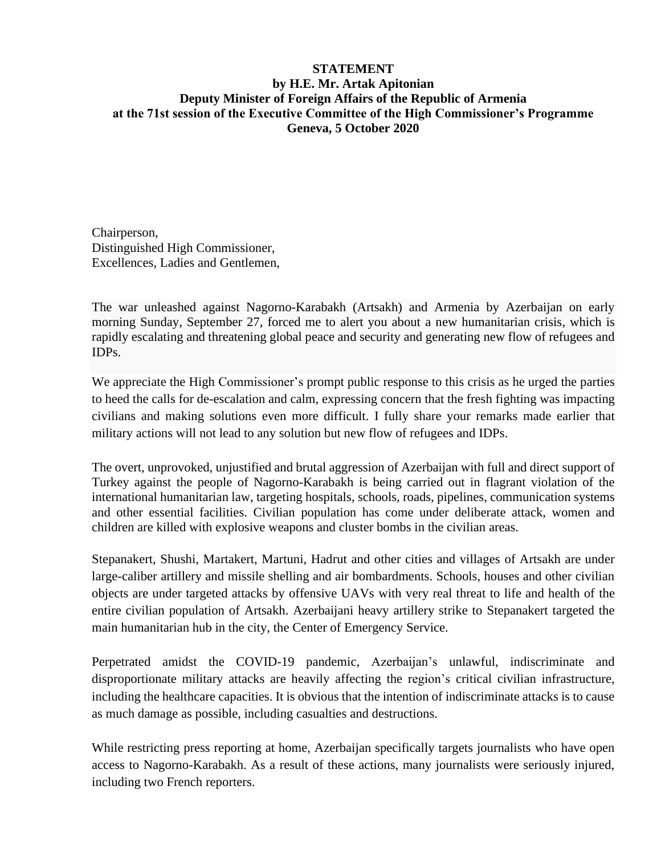## **STATEMENT by H.E. Mr. Artak Apitonian Deputy Minister of Foreign Affairs of the Republic of Armenia at the 71st session of the Executive Committee of the High Commissioner's Programme Geneva, 5 October 2020**

Chairperson, Distinguished High Commissioner, Excellences, Ladies and Gentlemen,

The war unleashed against Nagorno-Karabakh (Artsakh) and Armenia by Azerbaijan on early morning Sunday, September 27, forced me to alert you about a new humanitarian crisis, which is rapidly escalating and threatening global peace and security and generating new flow of refugees and IDPs.

We appreciate the High Commissioner's prompt public response to this crisis as he urged the parties to heed the calls for de-escalation and calm, expressing concern that the fresh fighting was impacting civilians and making solutions even more difficult. I fully share your remarks made earlier that military actions will not lead to any solution but new flow of refugees and IDPs.

The overt, unprovoked, unjustified and brutal aggression of Azerbaijan with full and direct support of Turkey against the people of Nagorno-Karabakh is being carried out in flagrant violation of the international humanitarian law, targeting hospitals, schools, roads, pipelines, communication systems and other essential facilities. Civilian population has come under deliberate attack, women and children are killed with explosive weapons and cluster bombs in the civilian areas.

Stepanakert, Shushi, Martakert, Martuni, Hadrut and other cities and villages of Artsakh are under large-caliber artillery and missile shelling and air bombardments. Schools, houses and other civilian objects are under targeted attacks by offensive UAVs with very real threat to life and health of the entire civilian population of Artsakh. [Azerbaijani](https://www.facebook.com/hashtag/azerbaijan?__eep__=6&__cft__%5b0%5d=AZWEFZxuyA9IEToGPX7VVVcw8vK-0MDaE1Fl-w_vEBIlq6fXyr-7enhMXw_snDn2xL0SY1IZlit6FQdM8ghlEcXRY_jIQlW-8PFCOx4og3K-x_eZnQ-VezQ-eshlAqKnsQQ&__tn__=*NK-R) heavy artillery strike to [Stepanakert](https://www.facebook.com/hashtag/stepanakert?__eep__=6&__cft__%5b0%5d=AZWEFZxuyA9IEToGPX7VVVcw8vK-0MDaE1Fl-w_vEBIlq6fXyr-7enhMXw_snDn2xL0SY1IZlit6FQdM8ghlEcXRY_jIQlW-8PFCOx4og3K-x_eZnQ-VezQ-eshlAqKnsQQ&__tn__=*NK-R) targeted the main humanitarian hub in the city, the Center of Emergency Service.

Perpetrated amidst the COVID-19 pandemic, Azerbaijan's unlawful, indiscriminate and disproportionate military attacks are heavily affecting the region's critical civilian infrastructure, including the healthcare capacities. It is obvious that the intention of indiscriminate attacks is to cause as much damage as possible, including casualties and destructions.

While restricting press reporting at home, Azerbaijan specifically targets journalists who have open access to Nagorno-Karabakh. As a result of these actions, many journalists were seriously injured, including two French reporters.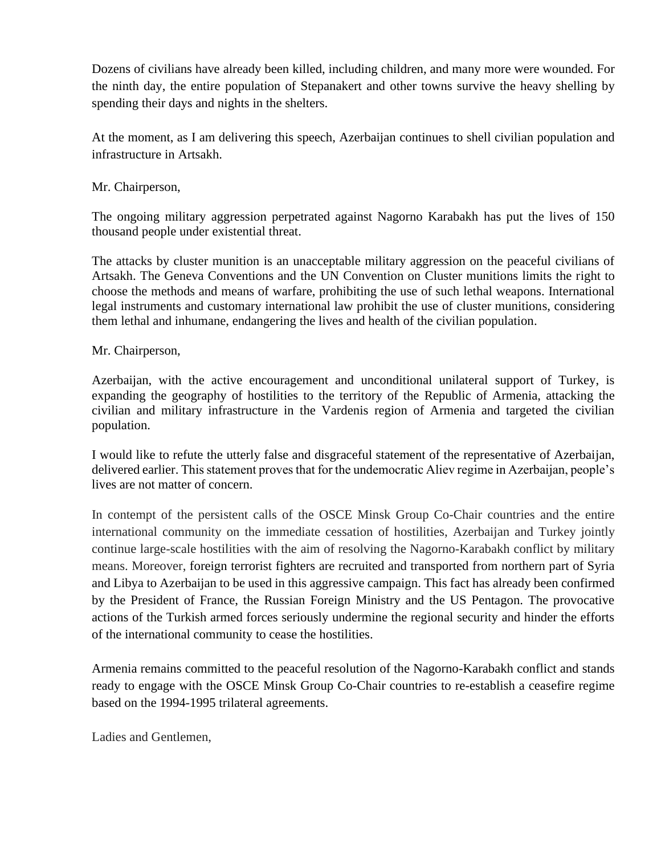Dozens of civilians have already been killed, including children, and many more were wounded. For the ninth day, the entire population of Stepanakert and other towns survive the heavy shelling by spending their days and nights in the shelters.

At the moment, as I am delivering this speech, Azerbaijan continues to shell civilian population and infrastructure in Artsakh.

## Mr. Chairperson,

The ongoing military aggression perpetrated against Nagorno Karabakh has put the lives of 150 thousand people under existential threat.

The attacks by cluster munition is an unacceptable military aggression on the peaceful civilians of Artsakh. The Geneva Conventions and the UN Convention on Cluster munitions limits the right to choose the methods and means of warfare, prohibiting the use of such lethal weapons. International legal instruments and customary international law prohibit the use of cluster munitions, considering them lethal and inhumane, endangering the lives and health of the civilian population.

## Mr. Chairperson,

Azerbaijan, with the active encouragement and unconditional unilateral support of Turkey, is expanding the geography of hostilities to the territory of the Republic of Armenia, attacking the civilian and military infrastructure in the Vardenis region of Armenia and targeted the civilian population.

I would like to refute the utterly false and disgraceful statement of the representative of Azerbaijan, delivered earlier. This statement proves that for the undemocratic Aliev regime in Azerbaijan, people's lives are not matter of concern.

In contempt of the persistent calls of the OSCE Minsk Group Co-Chair countries and the entire international community on the immediate cessation of hostilities, Azerbaijan and Turkey jointly continue large-scale hostilities with the aim of resolving the Nagorno-Karabakh conflict by military means. Moreover, foreign terrorist fighters are recruited and transported from northern part of Syria and Libya to Azerbaijan to be used in this aggressive campaign. This fact has already been confirmed by the President of France, the Russian Foreign Ministry and the US Pentagon. The provocative actions of the Turkish armed forces seriously undermine the regional security and hinder the efforts of the international community to cease the hostilities.

Armenia remains committed to the peaceful resolution of the Nagorno-Karabakh conflict and stands ready to engage with the OSCE Minsk Group Co-Chair countries to re-establish a ceasefire regime based on the 1994-1995 trilateral agreements.

Ladies and Gentlemen,